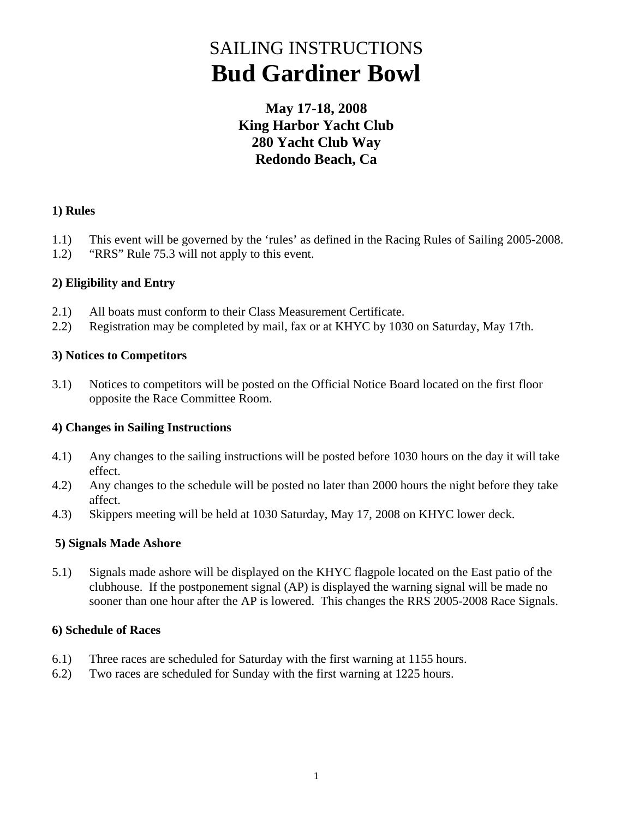# SAILING INSTRUCTIONS **Bud Gardiner Bowl**

### **May 17-18, 2008 King Harbor Yacht Club 280 Yacht Club Way Redondo Beach, Ca**

#### **1) Rules**

- 1.1) This event will be governed by the 'rules' as defined in the Racing Rules of Sailing 2005-2008.
- 1.2) "RRS" Rule 75.3 will not apply to this event.

#### **2) Eligibility and Entry**

- 2.1) All boats must conform to their Class Measurement Certificate.
- 2.2) Registration may be completed by mail, fax or at KHYC by 1030 on Saturday, May 17th.

#### **3) Notices to Competitors**

3.1) Notices to competitors will be posted on the Official Notice Board located on the first floor opposite the Race Committee Room.

#### **4) Changes in Sailing Instructions**

- 4.1) Any changes to the sailing instructions will be posted before 1030 hours on the day it will take effect.
- 4.2) Any changes to the schedule will be posted no later than 2000 hours the night before they take affect.
- 4.3) Skippers meeting will be held at 1030 Saturday, May 17, 2008 on KHYC lower deck.

#### **5) Signals Made Ashore**

5.1) Signals made ashore will be displayed on the KHYC flagpole located on the East patio of the clubhouse. If the postponement signal (AP) is displayed the warning signal will be made no sooner than one hour after the AP is lowered. This changes the RRS 2005-2008 Race Signals.

#### **6) Schedule of Races**

- 6.1) Three races are scheduled for Saturday with the first warning at 1155 hours.
- 6.2) Two races are scheduled for Sunday with the first warning at 1225 hours.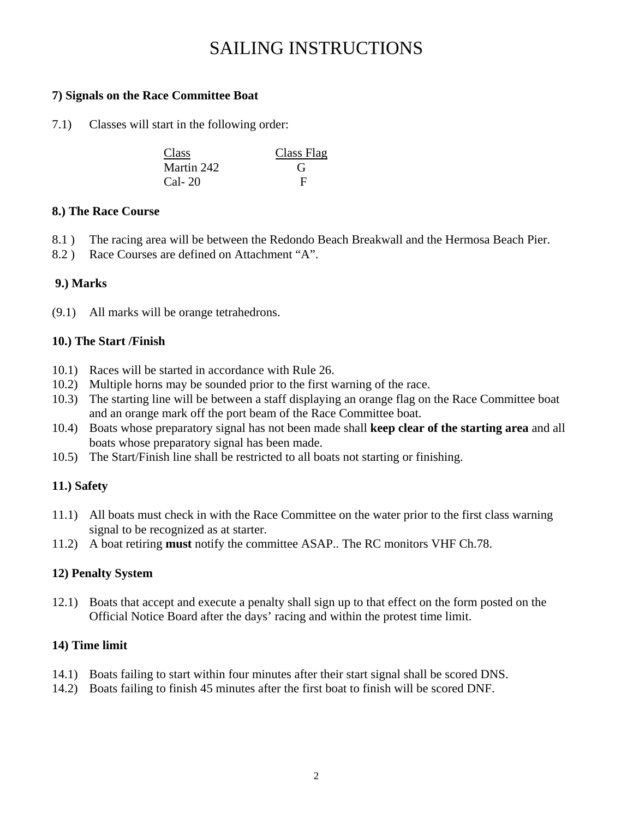### SAILING INSTRUCTIONS

#### **7) Signals on the Race Committee Boat**

7.1) Classes will start in the following order:

| Class      | Class Flag   |
|------------|--------------|
| Martin 242 | $\mathbf{G}$ |
| Cal- 20    |              |

#### **8.) The Race Course**

- 8.1 ) The racing area will be between the Redondo Beach Breakwall and the Hermosa Beach Pier.
- 8.2 ) Race Courses are defined on Attachment "A".

#### **9.) Marks**

(9.1) All marks will be orange tetrahedrons.

#### **10.) The Start /Finish**

- 10.1) Races will be started in accordance with Rule 26.
- 10.2) Multiple horns may be sounded prior to the first warning of the race.
- 10.3) The starting line will be between a staff displaying an orange flag on the Race Committee boat and an orange mark off the port beam of the Race Committee boat.
- 10.4) Boats whose preparatory signal has not been made shall **keep clear of the starting area** and all boats whose preparatory signal has been made.
- 10.5) The Start/Finish line shall be restricted to all boats not starting or finishing.

#### **11.) Safety**

- 11.1) All boats must check in with the Race Committee on the water prior to the first class warning signal to be recognized as at starter.
- 11.2) A boat retiring **must** notify the committee ASAP.. The RC monitors VHF Ch.78.

#### **12) Penalty System**

12.1) Boats that accept and execute a penalty shall sign up to that effect on the form posted on the Official Notice Board after the days' racing and within the protest time limit.

#### **14) Time limit**

- 14.1) Boats failing to start within four minutes after their start signal shall be scored DNS.
- 14.2) Boats failing to finish 45 minutes after the first boat to finish will be scored DNF.